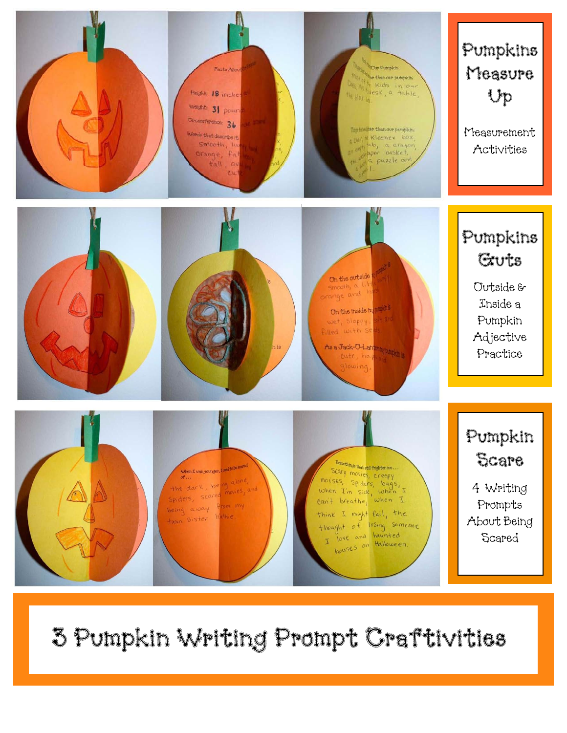

## 3 Pumpkin Writing Prompt Craftivities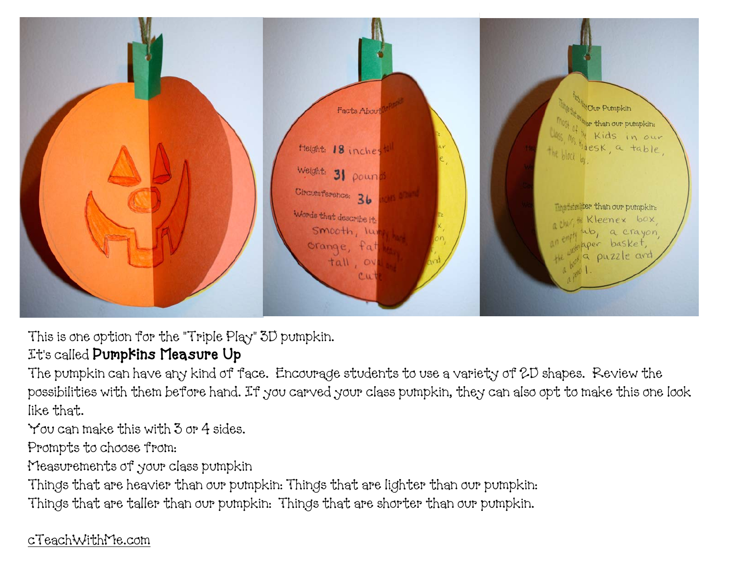

This is one option for the "Triple Play" 3D pumpkin.

## It's called Pumpkins Measure Up

The pumpkin can have any kind of face. Encourage students to use a variety of 2D shapes. Review the possibilities with them before hand. If you carved your class pumpkin, they can also opt to make this one look like that.

You can make this with 3 or 4 sides.

Prompts to choose from:

Measurements of your class pumpkin

Things that are heavier than our pumpkin: Things that are lighter than our pumpkin:

Things that are taller than our pumpkin: Things that are shorter than our pumpkin.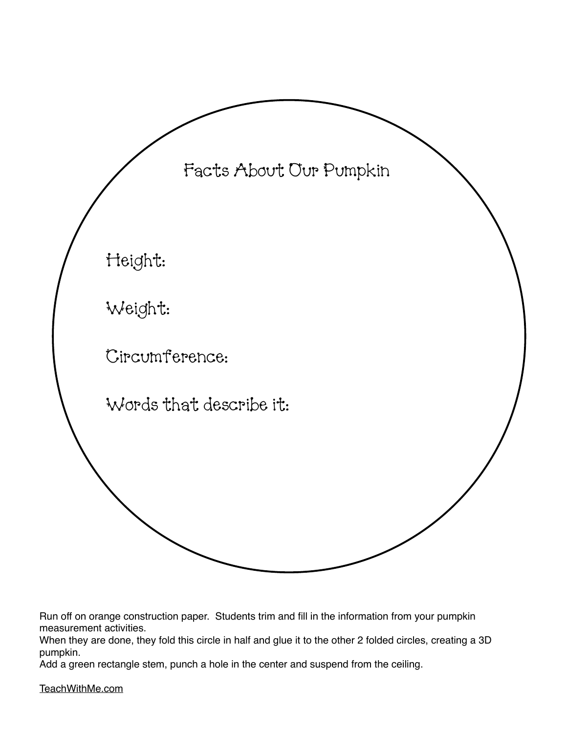

Run off on orange construction paper. Students trim and fill in the information from your pumpkin measurement activities.

When they are done, they fold this circle in half and glue it to the other 2 folded circles, creating a 3D pumpkin.

Add a green rectangle stem, punch a hole in the center and suspend from the ceiling.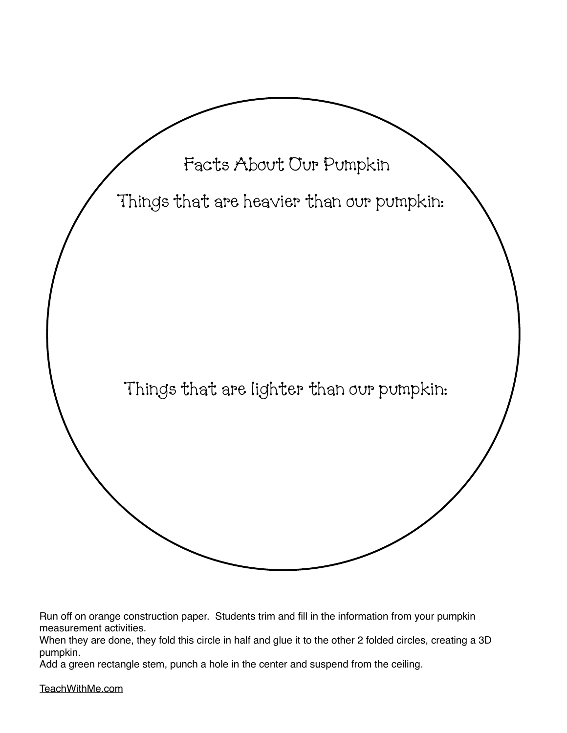

Run off on orange construction paper. Students trim and fill in the information from your pumpkin measurement activities.

When they are done, they fold this circle in half and glue it to the other 2 folded circles, creating a 3D pumpkin.

Add a green rectangle stem, punch a hole in the center and suspend from the ceiling.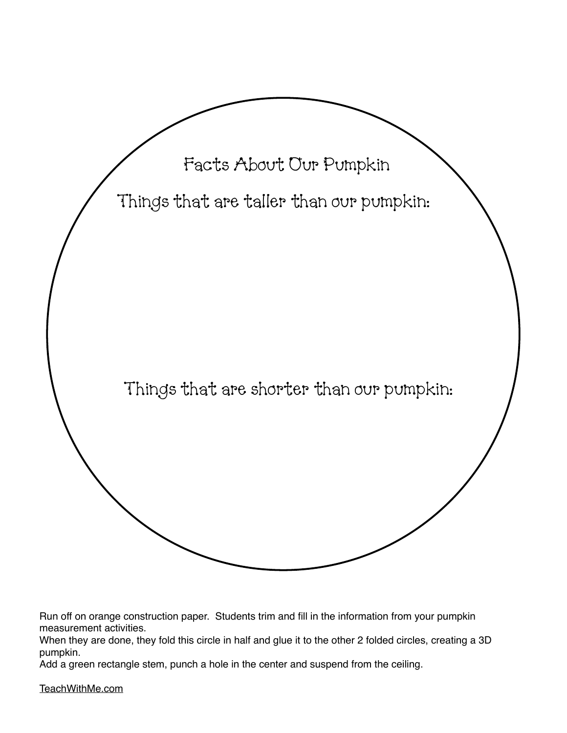

Run off on orange construction paper. Students trim and fill in the information from your pumpkin measurement activities.

When they are done, they fold this circle in half and glue it to the other 2 folded circles, creating a 3D pumpkin.

Add a green rectangle stem, punch a hole in the center and suspend from the ceiling.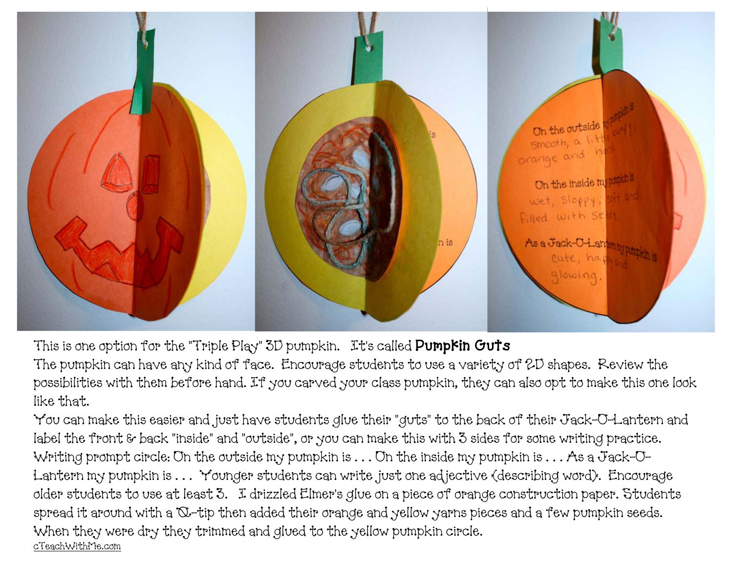

This is one option for the "Triple Play" 3D pumpkin. It's called **Pumpkin Guts** 

The pumpkin can have any kind of face. Encourage students to use a variety of 2D shapes. Review the possibilities with them before hand. If you carved your class pumpkin, they can also opt to make this one look like that.

You can make this easier and just have students glue their "guts" to the back of their Jack-O-Lantern and label the front & back "inside" and "outside", or you can make this with 3 sides for some writing practice. Writing prompt circle: On the outside my pumpkin is . . . On the inside my pumpkin is . . . As a Jack-O-Lantern my pumpkin is . . . Younger students can write just one adjective (describing word). Encourage older students to use at least 3. I drizzled Elmer's glue on a piece of orange construction paper. Students spread it around with a Q-tip then added their orange and yellow yarns pieces and a few pumpkin seeds. When they were dry they trimmed and glued to the yellow pumpkin circle. [cTeachWithMe.com](http://cTeachWithMe.com)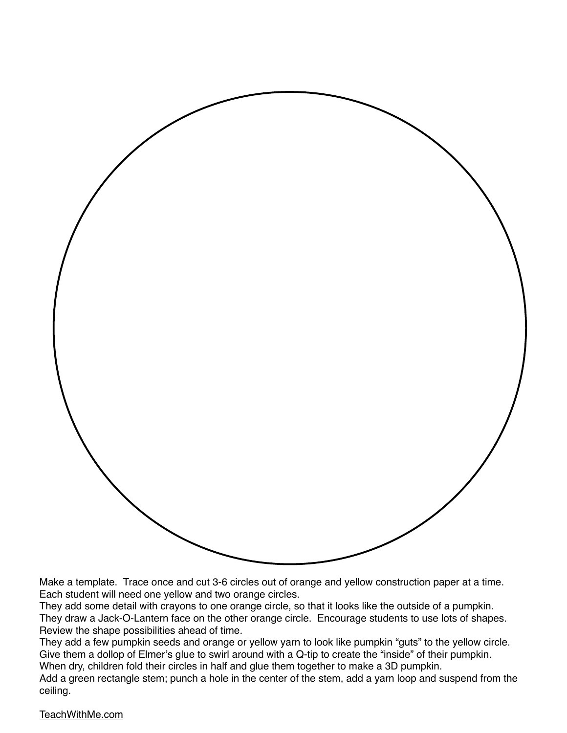

Make a template. Trace once and cut 3-6 circles out of orange and yellow construction paper at a time. Each student will need one yellow and two orange circles.

They add some detail with crayons to one orange circle, so that it looks like the outside of a pumpkin. They draw a Jack-O-Lantern face on the other orange circle. Encourage students to use lots of shapes. Review the shape possibilities ahead of time.

They add a few pumpkin seeds and orange or yellow yarn to look like pumpkin "guts" to the yellow circle. Give them a dollop of Elmer's glue to swirl around with a Q-tip to create the "inside" of their pumpkin. When dry, children fold their circles in half and glue them together to make a 3D pumpkin.

Add a green rectangle stem; punch a hole in the center of the stem, add a yarn loop and suspend from the

ceiling.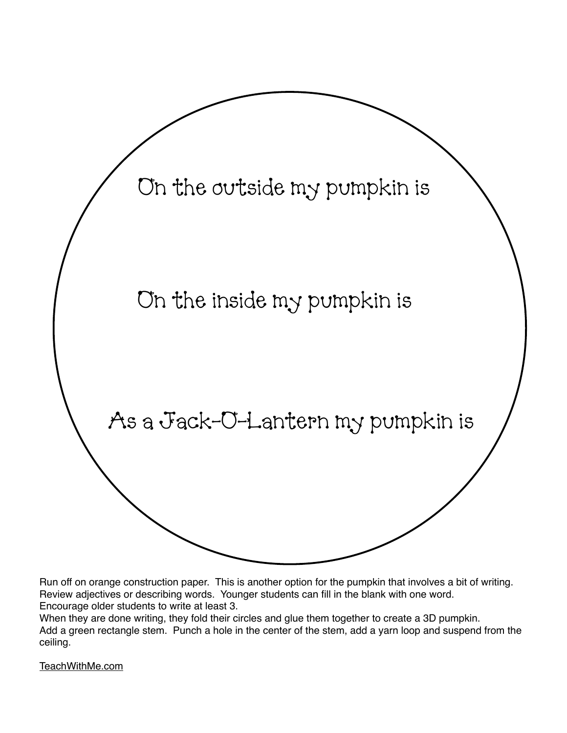

Run off on orange construction paper. This is another option for the pumpkin that involves a bit of writing. Review adjectives or describing words. Younger students can fill in the blank with one word. Encourage older students to write at least 3.

When they are done writing, they fold their circles and glue them together to create a 3D pumpkin. Add a green rectangle stem. Punch a hole in the center of the stem, add a yarn loop and suspend from the ceiling.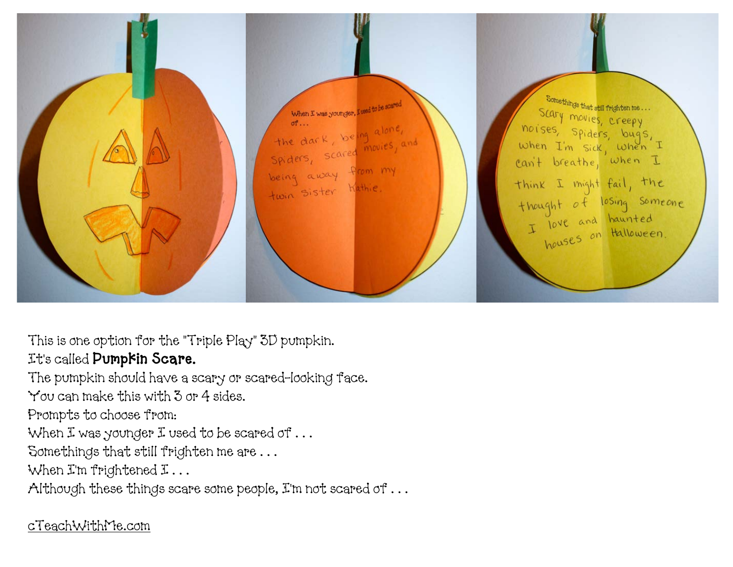

This is one option for the "Triple Play" 3D pumpkin. It's called Pumpkin Scare.

The pumpkin should have a scary or scared-looking face. You can make this with 3 or 4 sides.

Prompts to choose from:

When I was younger I used to be scared of ...

Somethings that still frighten me are . . .

When I'm frightened I...

Although these things scare some people, I'm not scared of . . .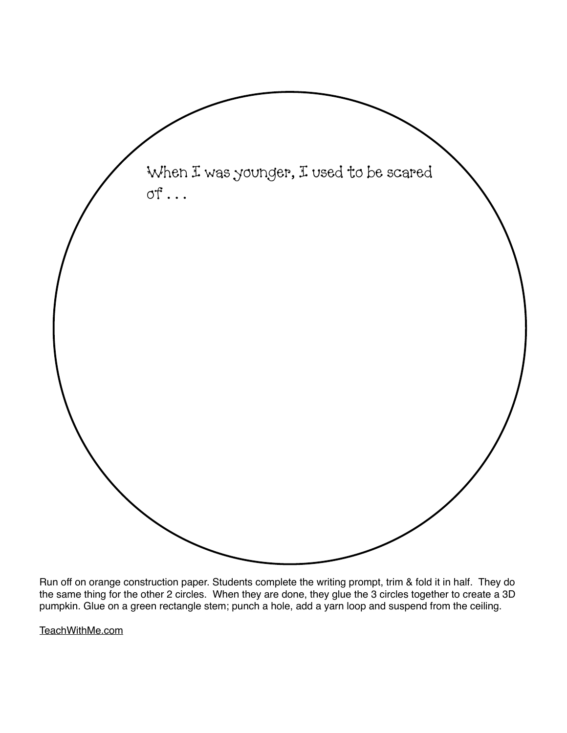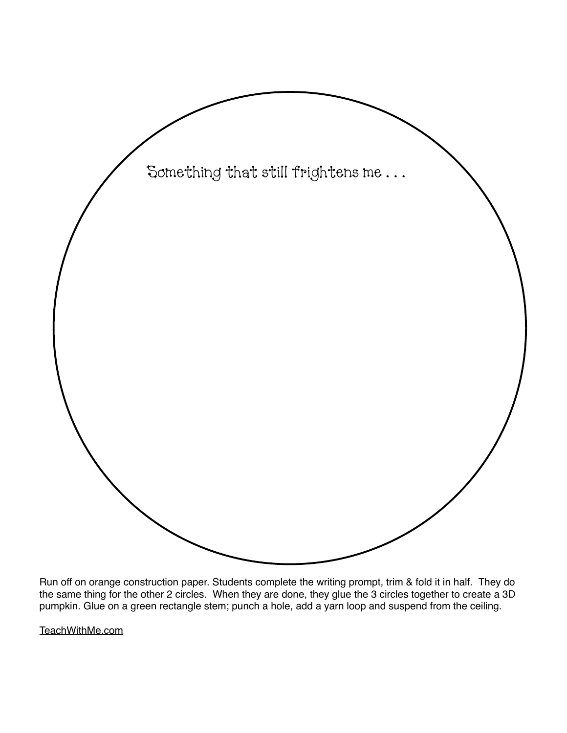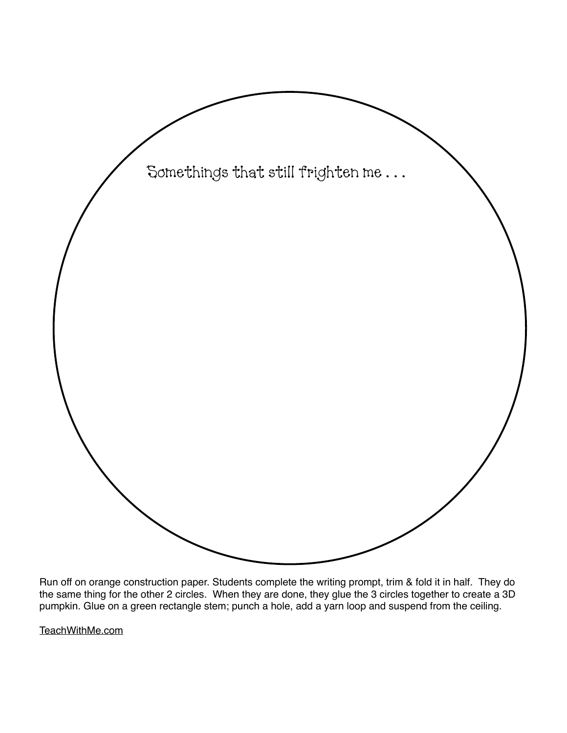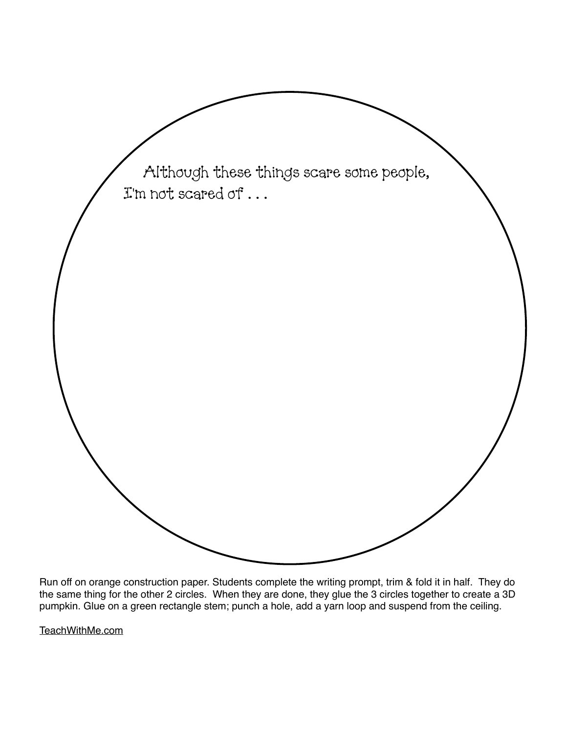